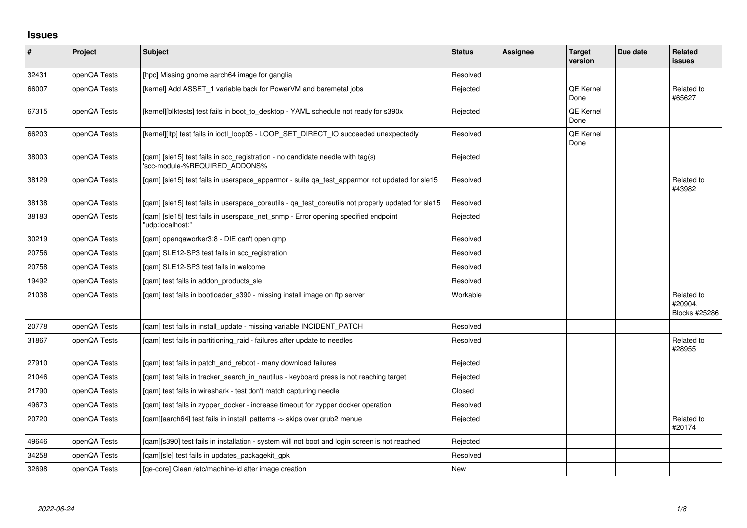## **Issues**

| $\vert$ # | Project      | <b>Subject</b>                                                                                                  | <b>Status</b> | <b>Assignee</b> | <b>Target</b><br>version | Due date | Related<br><b>issues</b>               |
|-----------|--------------|-----------------------------------------------------------------------------------------------------------------|---------------|-----------------|--------------------------|----------|----------------------------------------|
| 32431     | openQA Tests | [hpc] Missing gnome aarch64 image for ganglia                                                                   | Resolved      |                 |                          |          |                                        |
| 66007     | openQA Tests | [kernel] Add ASSET_1 variable back for PowerVM and baremetal jobs                                               | Rejected      |                 | QE Kernel<br>Done        |          | Related to<br>#65627                   |
| 67315     | openQA Tests | [kernel][blktests] test fails in boot_to_desktop - YAML schedule not ready for s390x                            | Rejected      |                 | QE Kernel<br>Done        |          |                                        |
| 66203     | openQA Tests | [kernel][ltp] test fails in ioctl_loop05 - LOOP_SET_DIRECT_IO succeeded unexpectedly                            | Resolved      |                 | QE Kernel<br>Done        |          |                                        |
| 38003     | openQA Tests | [qam] [sle15] test fails in scc_registration - no candidate needle with tag(s)<br>'scc-module-%REQUIRED ADDONS% | Rejected      |                 |                          |          |                                        |
| 38129     | openQA Tests | [qam] [sle15] test fails in userspace_apparmor - suite qa_test_apparmor not updated for sle15                   | Resolved      |                 |                          |          | Related to<br>#43982                   |
| 38138     | openQA Tests | [gam] [sle15] test fails in userspace coreutils - ga test coreutils not properly updated for sle15              | Resolved      |                 |                          |          |                                        |
| 38183     | openQA Tests | [qam] [sle15] test fails in userspace_net_snmp - Error opening specified endpoint<br>"udp:localhost:"           | Rejected      |                 |                          |          |                                        |
| 30219     | openQA Tests | [qam] openqaworker3:8 - DIE can't open qmp                                                                      | Resolved      |                 |                          |          |                                        |
| 20756     | openQA Tests | [gam] SLE12-SP3 test fails in scc registration                                                                  | Resolved      |                 |                          |          |                                        |
| 20758     | openQA Tests | [qam] SLE12-SP3 test fails in welcome                                                                           | Resolved      |                 |                          |          |                                        |
| 19492     | openQA Tests | [qam] test fails in addon_products_sle                                                                          | Resolved      |                 |                          |          |                                        |
| 21038     | openQA Tests | [qam] test fails in bootloader_s390 - missing install image on ftp server                                       | Workable      |                 |                          |          | Related to<br>#20904,<br>Blocks #25286 |
| 20778     | openQA Tests | [qam] test fails in install_update - missing variable INCIDENT_PATCH                                            | Resolved      |                 |                          |          |                                        |
| 31867     | openQA Tests | [qam] test fails in partitioning_raid - failures after update to needles                                        | Resolved      |                 |                          |          | Related to<br>#28955                   |
| 27910     | openQA Tests | [qam] test fails in patch_and_reboot - many download failures                                                   | Rejected      |                 |                          |          |                                        |
| 21046     | openQA Tests | [qam] test fails in tracker_search_in_nautilus - keyboard press is not reaching target                          | Rejected      |                 |                          |          |                                        |
| 21790     | openQA Tests | [gam] test fails in wireshark - test don't match capturing needle                                               | Closed        |                 |                          |          |                                        |
| 49673     | openQA Tests | [qam] test fails in zypper_docker - increase timeout for zypper docker operation                                | Resolved      |                 |                          |          |                                        |
| 20720     | openQA Tests | [qam][aarch64] test fails in install_patterns -> skips over grub2 menue                                         | Rejected      |                 |                          |          | Related to<br>#20174                   |
| 49646     | openQA Tests | [qam][s390] test fails in installation - system will not boot and login screen is not reached                   | Rejected      |                 |                          |          |                                        |
| 34258     | openQA Tests | [qam][sle] test fails in updates_packagekit_gpk                                                                 | Resolved      |                 |                          |          |                                        |
| 32698     | openQA Tests | [ge-core] Clean /etc/machine-id after image creation                                                            | New           |                 |                          |          |                                        |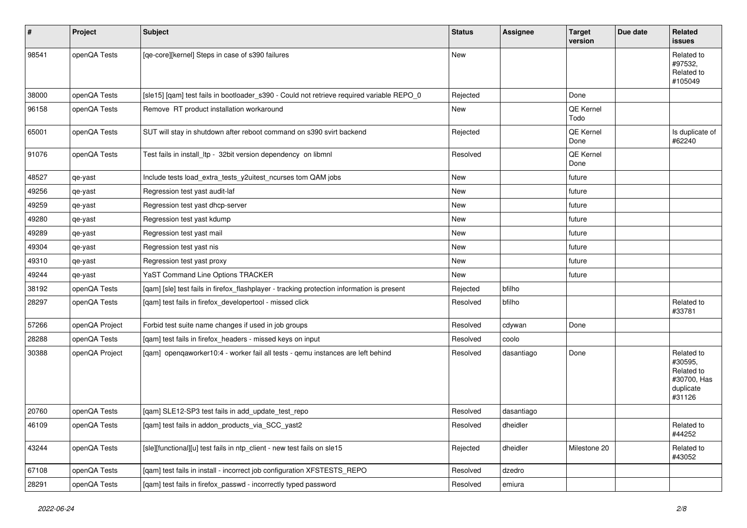| $\sharp$ | Project        | <b>Subject</b>                                                                             | <b>Status</b> | Assignee   | <b>Target</b><br>version | Due date | Related<br>issues                                                         |
|----------|----------------|--------------------------------------------------------------------------------------------|---------------|------------|--------------------------|----------|---------------------------------------------------------------------------|
| 98541    | openQA Tests   | [qe-core][kernel] Steps in case of s390 failures                                           | New           |            |                          |          | Related to<br>#97532.<br>Related to<br>#105049                            |
| 38000    | openQA Tests   | [sle15] [qam] test fails in bootloader_s390 - Could not retrieve required variable REPO_0  | Rejected      |            | Done                     |          |                                                                           |
| 96158    | openQA Tests   | Remove RT product installation workaround                                                  | New           |            | QE Kernel<br>Todo        |          |                                                                           |
| 65001    | openQA Tests   | SUT will stay in shutdown after reboot command on s390 svirt backend                       | Rejected      |            | QE Kernel<br>Done        |          | Is duplicate of<br>#62240                                                 |
| 91076    | openQA Tests   | Test fails in install_ltp - 32bit version dependency on libmnl                             | Resolved      |            | QE Kernel<br>Done        |          |                                                                           |
| 48527    | qe-yast        | Include tests load_extra_tests_y2uitest_ncurses tom QAM jobs                               | New           |            | future                   |          |                                                                           |
| 49256    | qe-yast        | Regression test yast audit-laf                                                             | New           |            | future                   |          |                                                                           |
| 49259    | qe-yast        | Regression test yast dhcp-server                                                           | New           |            | future                   |          |                                                                           |
| 49280    | qe-yast        | Regression test yast kdump                                                                 | New           |            | future                   |          |                                                                           |
| 49289    | qe-yast        | Regression test yast mail                                                                  | New           |            | future                   |          |                                                                           |
| 49304    | qe-yast        | Regression test yast nis                                                                   | New           |            | future                   |          |                                                                           |
| 49310    | qe-yast        | Regression test yast proxy                                                                 | New           |            | future                   |          |                                                                           |
| 49244    | qe-yast        | YaST Command Line Options TRACKER                                                          | New           |            | future                   |          |                                                                           |
| 38192    | openQA Tests   | [qam] [sle] test fails in firefox_flashplayer - tracking protection information is present | Rejected      | bfilho     |                          |          |                                                                           |
| 28297    | openQA Tests   | [qam] test fails in firefox_developertool - missed click                                   | Resolved      | bfilho     |                          |          | Related to<br>#33781                                                      |
| 57266    | openQA Project | Forbid test suite name changes if used in job groups                                       | Resolved      | cdywan     | Done                     |          |                                                                           |
| 28288    | openQA Tests   | [qam] test fails in firefox_headers - missed keys on input                                 | Resolved      | coolo      |                          |          |                                                                           |
| 30388    | openQA Project | [qam] openqaworker10:4 - worker fail all tests - qemu instances are left behind            | Resolved      | dasantiago | Done                     |          | Related to<br>#30595,<br>Related to<br>#30700, Has<br>duplicate<br>#31126 |
| 20760    | openQA Tests   | [qam] SLE12-SP3 test fails in add_update_test_repo                                         | Resolved      | dasantiago |                          |          |                                                                           |
| 46109    | openQA Tests   | [qam] test fails in addon_products_via_SCC_yast2                                           | Resolved      | dheidler   |                          |          | Related to<br>#44252                                                      |
| 43244    | openQA Tests   | [sle][functional][u] test fails in ntp_client - new test fails on sle15                    | Rejected      | dheidler   | Milestone 20             |          | Related to<br>#43052                                                      |
| 67108    | openQA Tests   | [qam] test fails in install - incorrect job configuration XFSTESTS_REPO                    | Resolved      | dzedro     |                          |          |                                                                           |
| 28291    | openQA Tests   | [qam] test fails in firefox_passwd - incorrectly typed password                            | Resolved      | emiura     |                          |          |                                                                           |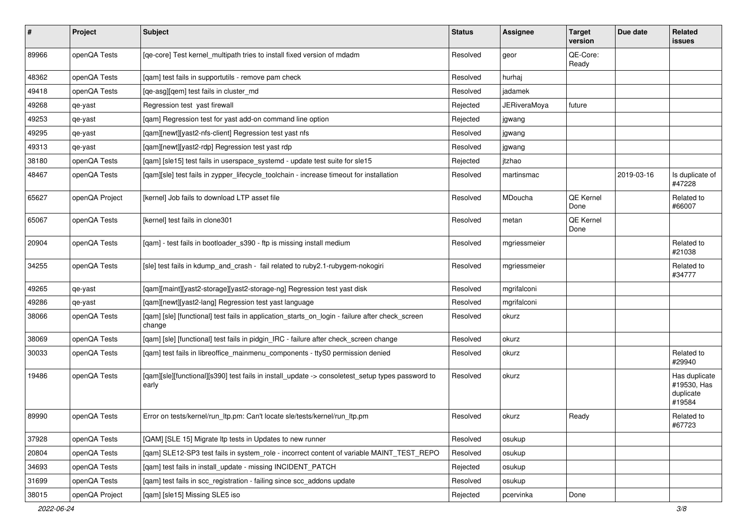| #     | Project        | <b>Subject</b>                                                                                            | <b>Status</b> | <b>Assignee</b> | <b>Target</b><br>version | Due date   | Related<br>issues                                   |
|-------|----------------|-----------------------------------------------------------------------------------------------------------|---------------|-----------------|--------------------------|------------|-----------------------------------------------------|
| 89966 | openQA Tests   | [qe-core] Test kernel_multipath tries to install fixed version of mdadm                                   | Resolved      | geor            | QE-Core:<br>Ready        |            |                                                     |
| 48362 | openQA Tests   | [qam] test fails in supportutils - remove pam check                                                       | Resolved      | hurhaj          |                          |            |                                                     |
| 49418 | openQA Tests   | [qe-asg][qem] test fails in cluster_md                                                                    | Resolved      | jadamek         |                          |            |                                                     |
| 49268 | qe-yast        | Regression test yast firewall                                                                             | Rejected      | JERiveraMoya    | future                   |            |                                                     |
| 49253 | qe-yast        | [gam] Regression test for yast add-on command line option                                                 | Rejected      | jgwang          |                          |            |                                                     |
| 49295 | qe-yast        | [qam][newt][yast2-nfs-client] Regression test yast nfs                                                    | Resolved      | jgwang          |                          |            |                                                     |
| 49313 | qe-yast        | [qam][newt][yast2-rdp] Regression test yast rdp                                                           | Resolved      | jgwang          |                          |            |                                                     |
| 38180 | openQA Tests   | [qam] [sle15] test fails in userspace_systemd - update test suite for sle15                               | Rejected      | jtzhao          |                          |            |                                                     |
| 48467 | openQA Tests   | [qam][sle] test fails in zypper_lifecycle_toolchain - increase timeout for installation                   | Resolved      | martinsmac      |                          | 2019-03-16 | Is duplicate of<br>#47228                           |
| 65627 | openQA Project | [kernel] Job fails to download LTP asset file                                                             | Resolved      | MDoucha         | <b>QE Kernel</b><br>Done |            | Related to<br>#66007                                |
| 65067 | openQA Tests   | [kernel] test fails in clone301                                                                           | Resolved      | metan           | <b>QE Kernel</b><br>Done |            |                                                     |
| 20904 | openQA Tests   | [qam] - test fails in bootloader_s390 - ftp is missing install medium                                     | Resolved      | mgriessmeier    |                          |            | Related to<br>#21038                                |
| 34255 | openQA Tests   | [sle] test fails in kdump_and_crash - fail related to ruby2.1-rubygem-nokogiri                            | Resolved      | mgriessmeier    |                          |            | Related to<br>#34777                                |
| 49265 | qe-yast        | [qam][maint][yast2-storage][yast2-storage-ng] Regression test yast disk                                   | Resolved      | mgrifalconi     |                          |            |                                                     |
| 49286 | qe-yast        | [qam][newt][yast2-lang] Regression test yast language                                                     | Resolved      | mgrifalconi     |                          |            |                                                     |
| 38066 | openQA Tests   | [qam] [sle] [functional] test fails in application_starts_on_login - failure after check_screen<br>change | Resolved      | okurz           |                          |            |                                                     |
| 38069 | openQA Tests   | [qam] [sle] [functional] test fails in pidgin_IRC - failure after check_screen change                     | Resolved      | okurz           |                          |            |                                                     |
| 30033 | openQA Tests   | [gam] test fails in libreoffice mainmenu components - ttyS0 permission denied                             | Resolved      | okurz           |                          |            | Related to<br>#29940                                |
| 19486 | openQA Tests   | [qam][sle][functional][s390] test fails in install_update -> consoletest_setup types password to<br>early | Resolved      | okurz           |                          |            | Has duplicate<br>#19530, Has<br>duplicate<br>#19584 |
| 89990 | openQA Tests   | Error on tests/kernel/run_ltp.pm: Can't locate sle/tests/kernel/run_ltp.pm                                | Resolved      | okurz           | Ready                    |            | Related to<br>#67723                                |
| 37928 | openQA Tests   | [QAM] [SLE 15] Migrate Itp tests in Updates to new runner                                                 | Resolved      | osukup          |                          |            |                                                     |
| 20804 | openQA Tests   | [gam] SLE12-SP3 test fails in system role - incorrect content of variable MAINT TEST REPO                 | Resolved      | osukup          |                          |            |                                                     |
| 34693 | openQA Tests   | [qam] test fails in install_update - missing INCIDENT_PATCH                                               | Rejected      | osukup          |                          |            |                                                     |
| 31699 | openQA Tests   | [qam] test fails in scc_registration - failing since scc_addons update                                    | Resolved      | osukup          |                          |            |                                                     |
| 38015 | openQA Project | [qam] [sle15] Missing SLE5 iso                                                                            | Rejected      | pcervinka       | Done                     |            |                                                     |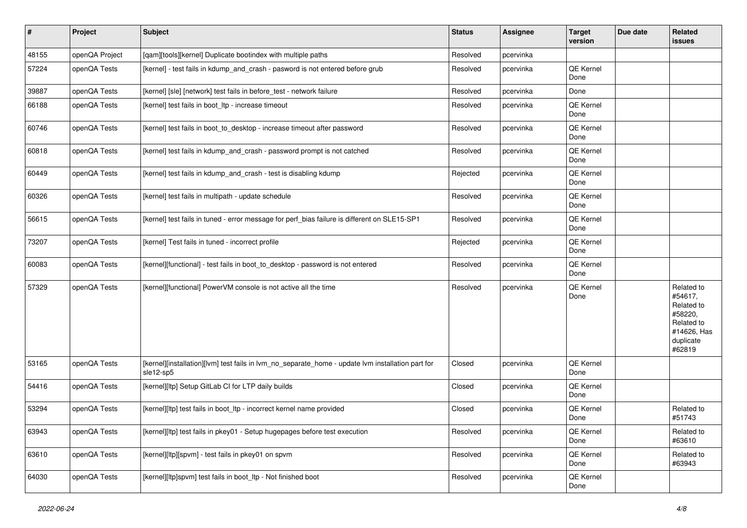| $\vert$ # | Project        | <b>Subject</b>                                                                                                 | <b>Status</b> | <b>Assignee</b> | <b>Target</b><br>version | Due date | Related<br>issues                                                                                  |
|-----------|----------------|----------------------------------------------------------------------------------------------------------------|---------------|-----------------|--------------------------|----------|----------------------------------------------------------------------------------------------------|
| 48155     | openQA Project | [qam][tools][kernel] Duplicate bootindex with multiple paths                                                   | Resolved      | pcervinka       |                          |          |                                                                                                    |
| 57224     | openQA Tests   | [kernel] - test fails in kdump_and_crash - pasword is not entered before grub                                  | Resolved      | pcervinka       | QE Kernel<br>Done        |          |                                                                                                    |
| 39887     | openQA Tests   | [kernel] [sle] [network] test fails in before_test - network failure                                           | Resolved      | pcervinka       | Done                     |          |                                                                                                    |
| 66188     | openQA Tests   | [kernel] test fails in boot Itp - increase timeout                                                             | Resolved      | pcervinka       | QE Kernel<br>Done        |          |                                                                                                    |
| 60746     | openQA Tests   | [kernel] test fails in boot_to_desktop - increase timeout after password                                       | Resolved      | pcervinka       | QE Kernel<br>Done        |          |                                                                                                    |
| 60818     | openQA Tests   | [kernel] test fails in kdump_and_crash - password prompt is not catched                                        | Resolved      | pcervinka       | QE Kernel<br>Done        |          |                                                                                                    |
| 60449     | openQA Tests   | [kernel] test fails in kdump_and_crash - test is disabling kdump                                               | Rejected      | pcervinka       | <b>QE Kernel</b><br>Done |          |                                                                                                    |
| 60326     | openQA Tests   | [kernel] test fails in multipath - update schedule                                                             | Resolved      | pcervinka       | <b>QE Kernel</b><br>Done |          |                                                                                                    |
| 56615     | openQA Tests   | [kernel] test fails in tuned - error message for perf_bias failure is different on SLE15-SP1                   | Resolved      | pcervinka       | <b>QE Kernel</b><br>Done |          |                                                                                                    |
| 73207     | openQA Tests   | [kernel] Test fails in tuned - incorrect profile                                                               | Rejected      | pcervinka       | QE Kernel<br>Done        |          |                                                                                                    |
| 60083     | openQA Tests   | [kernel][functional] - test fails in boot_to_desktop - password is not entered                                 | Resolved      | pcervinka       | <b>QE Kernel</b><br>Done |          |                                                                                                    |
| 57329     | openQA Tests   | [kernel][functional] PowerVM console is not active all the time                                                | Resolved      | pcervinka       | QE Kernel<br>Done        |          | Related to<br>#54617,<br>Related to<br>#58220,<br>Related to<br>#14626, Has<br>duplicate<br>#62819 |
| 53165     | openQA Tests   | [kernel][installation][lvm] test fails in lvm_no_separate_home - update lvm installation part for<br>sle12-sp5 | Closed        | pcervinka       | QE Kernel<br>Done        |          |                                                                                                    |
| 54416     | openQA Tests   | [kernel][ltp] Setup GitLab CI for LTP daily builds                                                             | Closed        | pcervinka       | <b>QE Kernel</b><br>Done |          |                                                                                                    |
| 53294     | openQA Tests   | [kernel][ltp] test fails in boot_ltp - incorrect kernel name provided                                          | Closed        | pcervinka       | QE Kernel<br>Done        |          | Related to<br>#51743                                                                               |
| 63943     | openQA Tests   | [kernel][ltp] test fails in pkey01 - Setup hugepages before test execution                                     | Resolved      | pcervinka       | QE Kernel<br>Done        |          | Related to<br>#63610                                                                               |
| 63610     | openQA Tests   | [kernel][ltp][spvm] - test fails in pkey01 on spvm                                                             | Resolved      | pcervinka       | QE Kernel<br>Done        |          | Related to<br>#63943                                                                               |
| 64030     | openQA Tests   | [kernel][ltp]spvm] test fails in boot_ltp - Not finished boot                                                  | Resolved      | pcervinka       | QE Kernel<br>Done        |          |                                                                                                    |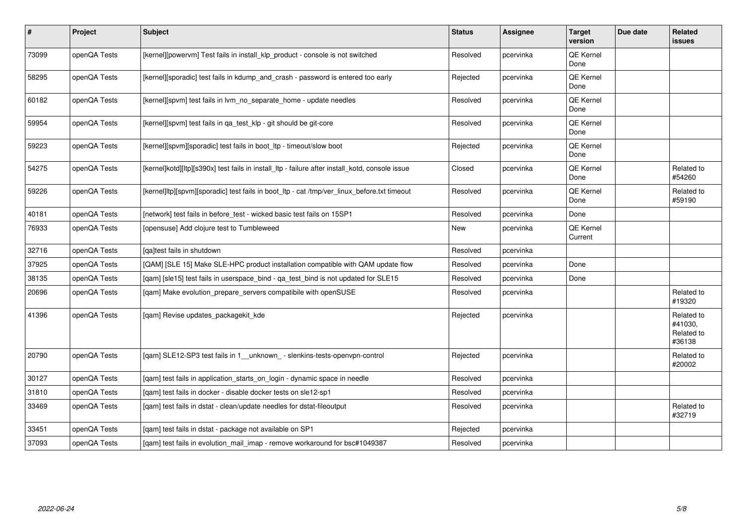| $\sharp$ | Project      | Subject                                                                                         | <b>Status</b> | <b>Assignee</b> | <b>Target</b><br>version    | Due date | Related<br><b>issues</b>                      |
|----------|--------------|-------------------------------------------------------------------------------------------------|---------------|-----------------|-----------------------------|----------|-----------------------------------------------|
| 73099    | openQA Tests | [kernel][powervm] Test fails in install_klp_product - console is not switched                   | Resolved      | pcervinka       | QE Kernel<br>Done           |          |                                               |
| 58295    | openQA Tests | [kernel][sporadic] test fails in kdump_and_crash - password is entered too early                | Rejected      | pcervinka       | QE Kernel<br>Done           |          |                                               |
| 60182    | openQA Tests | [kernel][spvm] test fails in lvm_no_separate_home - update needles                              | Resolved      | pcervinka       | QE Kernel<br>Done           |          |                                               |
| 59954    | openQA Tests | [kernel][spvm] test fails in qa_test_klp - git should be git-core                               | Resolved      | pcervinka       | QE Kernel<br>Done           |          |                                               |
| 59223    | openQA Tests | [kernel][spvm][sporadic] test fails in boot_ltp - timeout/slow boot                             | Rejected      | pcervinka       | QE Kernel<br>Done           |          |                                               |
| 54275    | openQA Tests | [kernel]kotd][ltp][s390x] test fails in install_ltp - failure after install_kotd, console issue | Closed        | pcervinka       | QE Kernel<br>Done           |          | Related to<br>#54260                          |
| 59226    | openQA Tests | [kernel]ltp][spvm][sporadic] test fails in boot_ltp - cat /tmp/ver_linux_before.txt timeout     | Resolved      | pcervinka       | QE Kernel<br>Done           |          | Related to<br>#59190                          |
| 40181    | openQA Tests | [network] test fails in before_test - wicked basic test fails on 15SP1                          | Resolved      | pcervinka       | Done                        |          |                                               |
| 76933    | openQA Tests | [opensuse] Add clojure test to Tumbleweed                                                       | New           | pcervinka       | <b>QE Kernel</b><br>Current |          |                                               |
| 32716    | openQA Tests | [ga]test fails in shutdown                                                                      | Resolved      | pcervinka       |                             |          |                                               |
| 37925    | openQA Tests | [QAM] [SLE 15] Make SLE-HPC product installation compatible with QAM update flow                | Resolved      | pcervinka       | Done                        |          |                                               |
| 38135    | openQA Tests | [qam] [sle15] test fails in userspace_bind - qa_test_bind is not updated for SLE15              | Resolved      | pcervinka       | Done                        |          |                                               |
| 20696    | openQA Tests | [qam] Make evolution_prepare_servers compatibile with openSUSE                                  | Resolved      | pcervinka       |                             |          | Related to<br>#19320                          |
| 41396    | openQA Tests | [qam] Revise updates_packagekit_kde                                                             | Rejected      | pcervinka       |                             |          | Related to<br>#41030.<br>Related to<br>#36138 |
| 20790    | openQA Tests | [qam] SLE12-SP3 test fails in 1_unknown_ - slenkins-tests-openvpn-control                       | Rejected      | pcervinka       |                             |          | Related to<br>#20002                          |
| 30127    | openQA Tests | [qam] test fails in application_starts_on_login - dynamic space in needle                       | Resolved      | pcervinka       |                             |          |                                               |
| 31810    | openQA Tests | [gam] test fails in docker - disable docker tests on sle12-sp1                                  | Resolved      | pcervinka       |                             |          |                                               |
| 33469    | openQA Tests | [qam] test fails in dstat - clean/update needles for dstat-fileoutput                           | Resolved      | pcervinka       |                             |          | Related to<br>#32719                          |
| 33451    | openQA Tests | [qam] test fails in dstat - package not available on SP1                                        | Rejected      | pcervinka       |                             |          |                                               |
| 37093    | openQA Tests | [gam] test fails in evolution mail imap - remove workaround for bsc#1049387                     | Resolved      | pcervinka       |                             |          |                                               |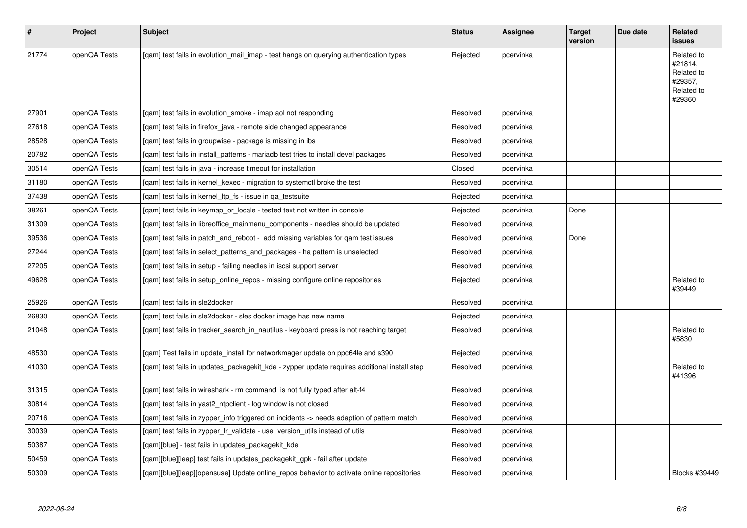| $\vert$ # | Project      | <b>Subject</b>                                                                              | <b>Status</b> | <b>Assignee</b> | <b>Target</b><br>version | Due date | Related<br><b>issues</b>                                               |
|-----------|--------------|---------------------------------------------------------------------------------------------|---------------|-----------------|--------------------------|----------|------------------------------------------------------------------------|
| 21774     | openQA Tests | [gam] test fails in evolution mail imap - test hangs on querying authentication types       | Rejected      | pcervinka       |                          |          | Related to<br>#21814,<br>Related to<br>#29357.<br>Related to<br>#29360 |
| 27901     | openQA Tests | [gam] test fails in evolution smoke - imap aol not responding                               | Resolved      | pcervinka       |                          |          |                                                                        |
| 27618     | openQA Tests | [gam] test fails in firefox java - remote side changed appearance                           | Resolved      | pcervinka       |                          |          |                                                                        |
| 28528     | openQA Tests | [qam] test fails in groupwise - package is missing in ibs                                   | Resolved      | pcervinka       |                          |          |                                                                        |
| 20782     | openQA Tests | [gam] test fails in install patterns - mariadb test tries to install devel packages         | Resolved      | pcervinka       |                          |          |                                                                        |
| 30514     | openQA Tests | [gam] test fails in java - increase timeout for installation                                | Closed        | pcervinka       |                          |          |                                                                        |
| 31180     | openQA Tests | [qam] test fails in kernel_kexec - migration to systemctl broke the test                    | Resolved      | pcervinka       |                          |          |                                                                        |
| 37438     | openQA Tests | [qam] test fails in kernel_ltp_fs - issue in qa_testsuite                                   | Rejected      | pcervinka       |                          |          |                                                                        |
| 38261     | openQA Tests | [gam] test fails in keymap or locale - tested text not written in console                   | Rejected      | pcervinka       | Done                     |          |                                                                        |
| 31309     | openQA Tests | [gam] test fails in libreoffice mainmenu components - needles should be updated             | Resolved      | pcervinka       |                          |          |                                                                        |
| 39536     | openQA Tests | [gam] test fails in patch and reboot - add missing variables for gam test issues            | Resolved      | pcervinka       | Done                     |          |                                                                        |
| 27244     | openQA Tests | [qam] test fails in select_patterns_and_packages - ha pattern is unselected                 | Resolved      | pcervinka       |                          |          |                                                                        |
| 27205     | openQA Tests | [qam] test fails in setup - failing needles in iscsi support server                         | Resolved      | pcervinka       |                          |          |                                                                        |
| 49628     | openQA Tests | [gam] test fails in setup online repos - missing configure online repositories              | Rejected      | pcervinka       |                          |          | Related to<br>#39449                                                   |
| 25926     | openQA Tests | [gam] test fails in sle2docker                                                              | Resolved      | pcervinka       |                          |          |                                                                        |
| 26830     | openQA Tests | [gam] test fails in sle2docker - sles docker image has new name                             | Rejected      | pcervinka       |                          |          |                                                                        |
| 21048     | openQA Tests | [gam] test fails in tracker search in nautilus - keyboard press is not reaching target      | Resolved      | pcervinka       |                          |          | Related to<br>#5830                                                    |
| 48530     | openQA Tests | [qam] Test fails in update_install for networkmager update on ppc64le and s390              | Rejected      | pcervinka       |                          |          |                                                                        |
| 41030     | openQA Tests | [gam] test fails in updates packagekit kde - zypper update requires additional install step | Resolved      | pcervinka       |                          |          | Related to<br>#41396                                                   |
| 31315     | openQA Tests | [gam] test fails in wireshark - rm command is not fully typed after alt-f4                  | Resolved      | pcervinka       |                          |          |                                                                        |
| 30814     | openQA Tests | [qam] test fails in yast2_ntpclient - log window is not closed                              | Resolved      | pcervinka       |                          |          |                                                                        |
| 20716     | openQA Tests | [gam] test fails in zypper info triggered on incidents -> needs adaption of pattern match   | Resolved      | pcervinka       |                          |          |                                                                        |
| 30039     | openQA Tests | [gam] test fails in zypper Ir validate - use version utils instead of utils                 | Resolved      | pcervinka       |                          |          |                                                                        |
| 50387     | openQA Tests | [qam][blue] - test fails in updates_packagekit_kde                                          | Resolved      | pcervinka       |                          |          |                                                                        |
| 50459     | openQA Tests | [qam][blue][leap] test fails in updates_packagekit_gpk - fail after update                  | Resolved      | pcervinka       |                          |          |                                                                        |
| 50309     | openQA Tests | [gam][blue][leap][opensuse] Update online repos behavior to activate online repositories    | Resolved      | pcervinka       |                          |          | Blocks #39449                                                          |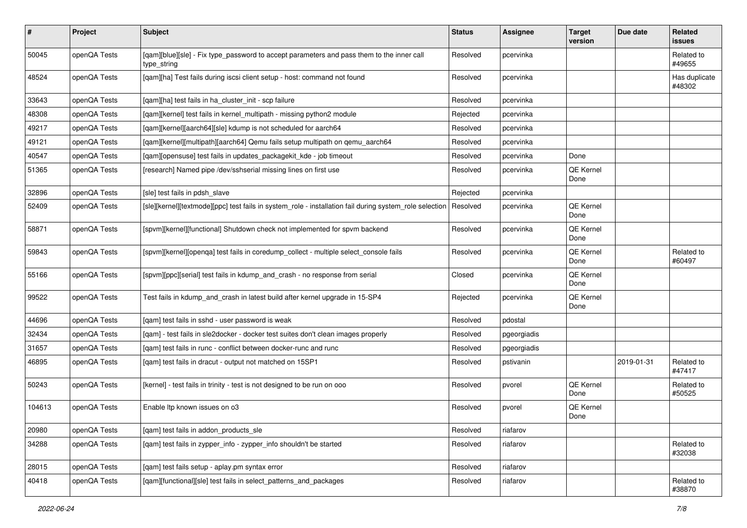| $\vert$ # | Project      | Subject                                                                                                  | <b>Status</b> | Assignee    | <b>Target</b><br>version | Due date   | Related<br><b>issues</b> |
|-----------|--------------|----------------------------------------------------------------------------------------------------------|---------------|-------------|--------------------------|------------|--------------------------|
| 50045     | openQA Tests | [qam][blue][sle] - Fix type_password to accept parameters and pass them to the inner call<br>type_string | Resolved      | pcervinka   |                          |            | Related to<br>#49655     |
| 48524     | openQA Tests | [qam][ha] Test fails during iscsi client setup - host: command not found                                 | Resolved      | pcervinka   |                          |            | Has duplicate<br>#48302  |
| 33643     | openQA Tests | [gam][ha] test fails in ha cluster init - scp failure                                                    | Resolved      | pcervinka   |                          |            |                          |
| 48308     | openQA Tests | [qam][kernel] test fails in kernel_multipath - missing python2 module                                    | Rejected      | pcervinka   |                          |            |                          |
| 49217     | openQA Tests | [qam][kernel][aarch64][sle] kdump is not scheduled for aarch64                                           | Resolved      | pcervinka   |                          |            |                          |
| 49121     | openQA Tests | [qam][kernel][multipath][aarch64] Qemu fails setup multipath on qemu_aarch64                             | Resolved      | pcervinka   |                          |            |                          |
| 40547     | openQA Tests | [qam][opensuse] test fails in updates_packagekit_kde - job timeout                                       | Resolved      | pcervinka   | Done                     |            |                          |
| 51365     | openQA Tests | [research] Named pipe /dev/sshserial missing lines on first use                                          | Resolved      | pcervinka   | QE Kernel<br>Done        |            |                          |
| 32896     | openQA Tests | [sle] test fails in pdsh_slave                                                                           | Rejected      | pcervinka   |                          |            |                          |
| 52409     | openQA Tests | [sle][kernel][textmode][ppc] test fails in system_role - installation fail during system_role selection  | Resolved      | pcervinka   | QE Kernel<br>Done        |            |                          |
| 58871     | openQA Tests | [spvm][kernel][functional] Shutdown check not implemented for spvm backend                               | Resolved      | pcervinka   | QE Kernel<br>Done        |            |                          |
| 59843     | openQA Tests | [spvm][kernel][openqa] test fails in coredump_collect - multiple select_console fails                    | Resolved      | pcervinka   | QE Kernel<br>Done        |            | Related to<br>#60497     |
| 55166     | openQA Tests | [spvm][ppc][serial] test fails in kdump_and_crash - no response from serial                              | Closed        | pcervinka   | QE Kernel<br>Done        |            |                          |
| 99522     | openQA Tests | Test fails in kdump_and_crash in latest build after kernel upgrade in 15-SP4                             | Rejected      | pcervinka   | QE Kernel<br>Done        |            |                          |
| 44696     | openQA Tests | [qam] test fails in sshd - user password is weak                                                         | Resolved      | pdostal     |                          |            |                          |
| 32434     | openQA Tests | [gam] - test fails in sle2docker - docker test suites don't clean images properly                        | Resolved      | pgeorgiadis |                          |            |                          |
| 31657     | openQA Tests | [gam] test fails in runc - conflict between docker-runc and runc                                         | Resolved      | pgeorgiadis |                          |            |                          |
| 46895     | openQA Tests | [qam] test fails in dracut - output not matched on 15SP1                                                 | Resolved      | pstivanin   |                          | 2019-01-31 | Related to<br>#47417     |
| 50243     | openQA Tests | [kernel] - test fails in trinity - test is not designed to be run on ooo                                 | Resolved      | pvorel      | QE Kernel<br>Done        |            | Related to<br>#50525     |
| 104613    | openQA Tests | Enable Itp known issues on o3                                                                            | Resolved      | pvorel      | QE Kernel<br>Done        |            |                          |
| 20980     | openQA Tests | [qam] test fails in addon_products_sle                                                                   | Resolved      | riafarov    |                          |            |                          |
| 34288     | openQA Tests | [gam] test fails in zypper info - zypper info shouldn't be started                                       | Resolved      | riafarov    |                          |            | Related to<br>#32038     |
| 28015     | openQA Tests | [gam] test fails setup - aplay.pm syntax error                                                           | Resolved      | riafarov    |                          |            |                          |
| 40418     | openQA Tests | [qam][functional][sle] test fails in select_patterns_and_packages                                        | Resolved      | riafarov    |                          |            | Related to<br>#38870     |